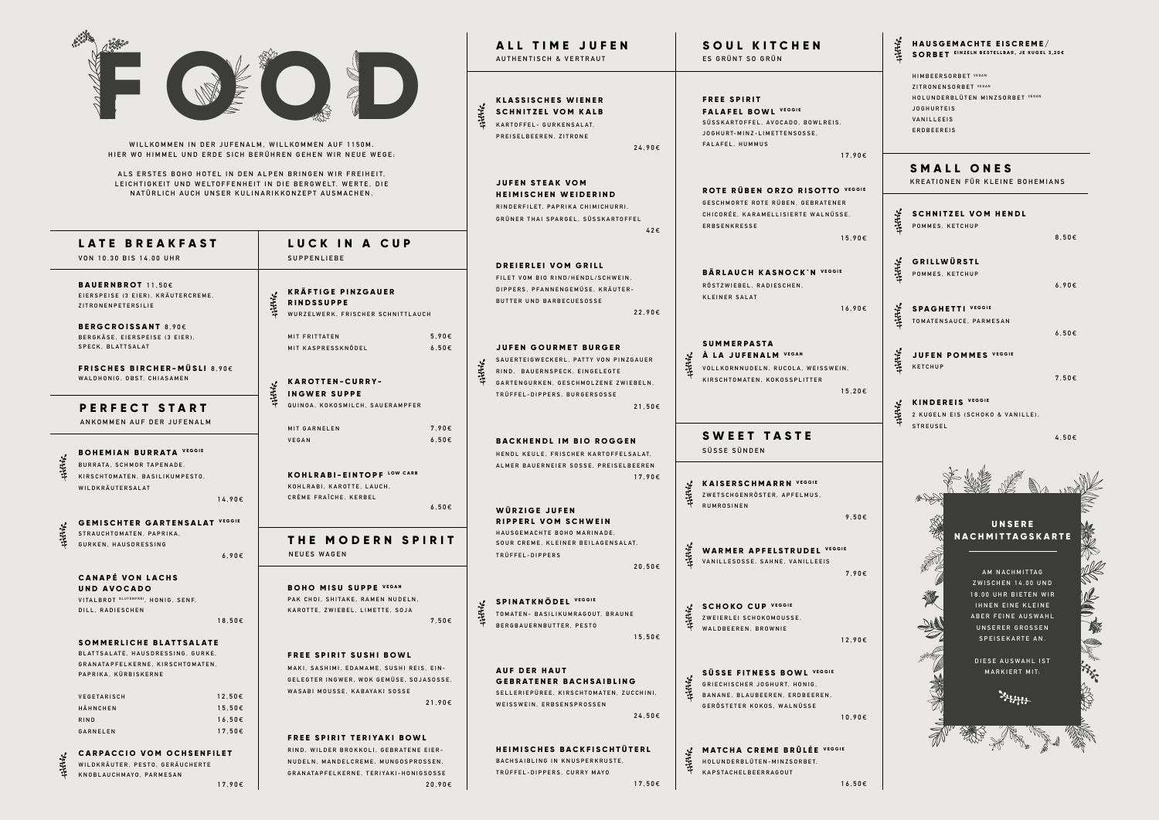| WILLKOMMEN IN DER JUFENALM, WILLKOMMEN AUF 1150M.<br>HIER WO HIMMEL UND ERDE SICH BERÜHREN GEHEN WIR NEUE WEGE: |                                                                                      |                  |                                                                                                                                                                            |                                  | *****  | ALL TIME JUFEN<br><b>AUTHENTISCH &amp; VERTRAUT</b><br><b>KLASSISCHES WIENER</b><br><b>SCHNITZEL VOM KALB</b><br>KARTOFFEL- GURKENSALAT,<br>PREISELBEEREN, ZITRONE<br>24,90€ |                                                                                                                                   | SOUL KITCHEN<br>ES GRÜNT SO GRÜN<br><b>FREE SPIRIT</b><br><b>FALAFEL BOWL VEGGIE</b><br>SÜSSKARTOFFEL, AVOCADO, BOWLREIS,<br>JOGHURT-MINZ-LIMETTENSOSSE,<br>FALAFEL, HUMMUS<br>17,90€ |  |
|-----------------------------------------------------------------------------------------------------------------|--------------------------------------------------------------------------------------|------------------|----------------------------------------------------------------------------------------------------------------------------------------------------------------------------|----------------------------------|--------|------------------------------------------------------------------------------------------------------------------------------------------------------------------------------|-----------------------------------------------------------------------------------------------------------------------------------|---------------------------------------------------------------------------------------------------------------------------------------------------------------------------------------|--|
|                                                                                                                 |                                                                                      |                  | ALS ERSTES BOHO HOTEL IN DEN ALPEN BRINGEN WIR FREIHEIT,<br>LEICHTIGKEIT UND WELTOFFENHEIT IN DIE BERGWELT. WERTE, DIE<br>NATÜRLICH AUCH UNSER KULINARIKKONZEPT AUSMACHEN. |                                  |        | JUFEN STEAK VOM<br><b>HEIMISCHEN WEIDERIND</b><br>RINDERFILET. PAPRIKA CHIMICHURRI.<br>GRÜNER THAI SPARGEL, SÜSSKARTOFFEL<br>42€                                             | ROTE RÜBEN ORZO RISOTTO VEGGIE<br>GESCHMORTE ROTE RÜBEN. GEBRATENER<br>CHICORÉE, KARAMELLISIERTE WALNÜSSE,<br><b>ERBSENKRESSE</b> |                                                                                                                                                                                       |  |
|                                                                                                                 | LATE BREAKFAST                                                                       |                  | LUCK IN A CUP                                                                                                                                                              |                                  |        |                                                                                                                                                                              |                                                                                                                                   | 15,90€                                                                                                                                                                                |  |
|                                                                                                                 | VON 10.30 BIS 14.00 UHR                                                              |                  | <b>SUPPENLIEBE</b>                                                                                                                                                         |                                  |        |                                                                                                                                                                              |                                                                                                                                   |                                                                                                                                                                                       |  |
|                                                                                                                 | <b>BAUERNBROT</b> 11,50€<br>EIERSPEISE (3 EIER), KRÄUTERCREME,<br>ZITRONENPETERSILIE |                  | <b>KRÄFTIGE PINZGAUER</b><br>: 11116<br><b>RINDSSUPPE</b><br>WURZELWERK, FRISCHER SCHNITTLAUCH                                                                             |                                  |        | DREIERLEI VOM GRILL<br>FILET VOM BIO RIND/HENDL/SCHWEIN,<br>DIPPERS, PFANNENGEMÜSE, KRÄUTER-<br>BUTTER UND BARBECUESOSSE<br>22,90€                                           |                                                                                                                                   | <b>BÄRLAUCH KASNOCK'N VEGGIE</b><br>RÖSTZWIEBEL, RADIESCHEN,<br><b>KLEINER SALAT</b><br>16,90€                                                                                        |  |
|                                                                                                                 | <b>BERGCROISSANT 8,90€</b>                                                           |                  |                                                                                                                                                                            |                                  |        |                                                                                                                                                                              |                                                                                                                                   |                                                                                                                                                                                       |  |
|                                                                                                                 | BERGKÄSE, EIERSPEISE (3 EIER),<br>SPECK, BLATTSALAT                                  |                  | MIT FRITTATEN<br>MIT KASPRESSKNÖDEL                                                                                                                                        | 5,90 $\epsilon$<br>$6,50 \in$    |        | JUFEN GOURMET BURGER                                                                                                                                                         |                                                                                                                                   | <b>SUMMERPASTA</b>                                                                                                                                                                    |  |
|                                                                                                                 | <b>FRISCHES BIRCHER-MÜSLI 8,90€</b><br>WALDHONIG, OBST, CHIASAMEN                    |                  |                                                                                                                                                                            |                                  |        | SAUERTEIGWECKERL, PATTY VON PINZGAUER                                                                                                                                        | ******                                                                                                                            | A LA JUFENALM VEGAN                                                                                                                                                                   |  |
|                                                                                                                 |                                                                                      |                  | <b>KAROTTEN-CURRY-</b>                                                                                                                                                     |                                  | *****  | RIND, BAUERNSPECK, EINGELEGTE                                                                                                                                                |                                                                                                                                   | VOLLKORNNUDELN, RUCOLA, WEISSWEIN,<br>KIRSCHTOMATEN, KOKOSSPLITTER                                                                                                                    |  |
|                                                                                                                 |                                                                                      |                  | <b>Hillik</b><br><b>INGWER SUPPE</b>                                                                                                                                       |                                  |        | GARTENGURKEN, GESCHMOLZENE ZWIEBELN,<br>TRÜFFEL-DIPPERS, BURGERSOSSE                                                                                                         |                                                                                                                                   | $15,20 \in$                                                                                                                                                                           |  |
|                                                                                                                 | PERFECT START                                                                        |                  | QUINOA, KOKOSMILCH, SAUERAMPFER                                                                                                                                            |                                  |        | 21,50€                                                                                                                                                                       |                                                                                                                                   |                                                                                                                                                                                       |  |
|                                                                                                                 | ANKOMMEN AUF DER JUFENALM                                                            |                  |                                                                                                                                                                            |                                  |        |                                                                                                                                                                              |                                                                                                                                   |                                                                                                                                                                                       |  |
|                                                                                                                 |                                                                                      |                  | MIT GARNELEN<br><b>VEGAN</b>                                                                                                                                               | 7,90€<br>$6,50 \in$              |        | <b>BACKHENDL IM BIO ROGGEN</b>                                                                                                                                               |                                                                                                                                   | SWEET TASTE                                                                                                                                                                           |  |
|                                                                                                                 | <b>BOHEMIAN BURRATA VEGGIE</b>                                                       |                  |                                                                                                                                                                            |                                  |        | HENDL KEULE, FRISCHER KARTOFFELSALAT,                                                                                                                                        | SÜSSE SÜNDEN                                                                                                                      |                                                                                                                                                                                       |  |
| *******                                                                                                         | BURRATA, SCHMOR TAPENADE,                                                            |                  |                                                                                                                                                                            |                                  |        | ALMER BAUERNEIER SOSSE, PREISELBEEREN                                                                                                                                        |                                                                                                                                   |                                                                                                                                                                                       |  |
|                                                                                                                 | KIRSCHTOMATEN, BASILIKUMPESTO,<br>WILDKRÄUTERSALAT                                   |                  | KOHLRABI-EINTOPF LOW CARB<br>KOHLRABI, KAROTTE, LAUCH,                                                                                                                     |                                  |        | 17,90€                                                                                                                                                                       |                                                                                                                                   | <b>KAISERSCHMARRN VEGGIE</b>                                                                                                                                                          |  |
|                                                                                                                 |                                                                                      | 14,90€           | CRÈME FRAÎCHE, KERBEL                                                                                                                                                      |                                  |        |                                                                                                                                                                              | ******                                                                                                                            | ZWETSCHGENRÖSTER, APFELMUS,<br>RUMROSINEN                                                                                                                                             |  |
|                                                                                                                 |                                                                                      |                  |                                                                                                                                                                            | $6,50 \in$                       |        | WÜRZIGE JUFEN<br>RIPPERL VOM SCHWEIN                                                                                                                                         |                                                                                                                                   | 9,50 $\epsilon$                                                                                                                                                                       |  |
| ******                                                                                                          | <b>GEMISCHTER GARTENSALAT VEGGIE</b><br>STRAUCHTOMATEN, PAPRIKA,                     |                  |                                                                                                                                                                            |                                  |        | HAUSGEMACHTE BOHO MARINADE,                                                                                                                                                  |                                                                                                                                   |                                                                                                                                                                                       |  |
|                                                                                                                 | GURKEN, HAUSDRESSING                                                                 |                  | THE MODERN SPIRIT                                                                                                                                                          |                                  |        | SOUR CREME, KLEINER BEILAGENSALAT,                                                                                                                                           |                                                                                                                                   | <b>WARMER APFELSTRUDEL VEGGIE</b>                                                                                                                                                     |  |
|                                                                                                                 |                                                                                      | 6,90E            | <b>NEUES WAGEN</b>                                                                                                                                                         |                                  |        | TRÜFFEL-DIPPERS<br>$20,50 \in$                                                                                                                                               | ******                                                                                                                            | VANILLESOSSE, SAHNE, VANILLEEIS                                                                                                                                                       |  |
|                                                                                                                 | <b>CANAPÉ VON LACHS</b>                                                              |                  |                                                                                                                                                                            |                                  |        |                                                                                                                                                                              |                                                                                                                                   | 7.90E                                                                                                                                                                                 |  |
|                                                                                                                 | UND AVOCADO<br>VITALBROT GLUTENFREI, HONIG, SENF,                                    |                  | <b>BOHO MISU SUPPE VEGAN</b><br>PAK CHOI, SHITAKE, RAMEN NUDELN,                                                                                                           |                                  |        | <b>SPINATKNÖDEL VEGGIE</b>                                                                                                                                                   |                                                                                                                                   |                                                                                                                                                                                       |  |
|                                                                                                                 | DILL, RADIESCHEN                                                                     |                  | KAROTTE, ZWIEBEL, LIMETTE, SOJA                                                                                                                                            |                                  | 111116 | TOMATEN- BASILIKUMRAGOUT, BRAUNE                                                                                                                                             |                                                                                                                                   | <b>SCHOKO CUP VEGGIE</b>                                                                                                                                                              |  |
|                                                                                                                 |                                                                                      | 18,50€           |                                                                                                                                                                            | 7,50€                            |        | BERGBAUERNBUTTER, PESTO                                                                                                                                                      | ******                                                                                                                            | ZWEIERLEI SCHOKOMOUSSE,<br>WALDBEEREN, BROWNIE                                                                                                                                        |  |
|                                                                                                                 | SOMMERLICHE BLATTSALATE                                                              |                  |                                                                                                                                                                            |                                  |        | 15,50€                                                                                                                                                                       |                                                                                                                                   | 12,90€                                                                                                                                                                                |  |
|                                                                                                                 | BLATTSALATE, HAUSDRESSING, GURKE,<br>GRANATAPFELKERNE, KIRSCHTOMATEN,                |                  | <b>FREE SPIRIT SUSHI BOWL</b>                                                                                                                                              |                                  |        |                                                                                                                                                                              |                                                                                                                                   |                                                                                                                                                                                       |  |
|                                                                                                                 | PAPRIKA, KÜRBISKERNE                                                                 |                  | MAKI, SASHIMI, EDAMAME, SUSHI REIS, EIN-                                                                                                                                   |                                  |        | <b>AUF DER HAUT</b>                                                                                                                                                          |                                                                                                                                   | SÜSSE FITNESS BOWL VEGGIE                                                                                                                                                             |  |
|                                                                                                                 |                                                                                      |                  | GELEGTER INGWER, WOK GEMÜSE, SOJASOSSE,<br>WASABI MOUSSE, KABAYAKI SOSSE                                                                                                   |                                  |        | <b>GEBRATENER BACHSAIBLING</b><br>SELLERIEPÜREE, KIRSCHTOMATEN, ZUCCHINI,                                                                                                    | 111116                                                                                                                            | GRIECHISCHER JOGHURT, HONIG,                                                                                                                                                          |  |
|                                                                                                                 | VEGETARISCH<br>HÄHNCHEN                                                              | 12,50€<br>15,50€ |                                                                                                                                                                            | 21,90€                           |        | WEISSWEIN, ERBSENSPROSSEN<br>24,50€                                                                                                                                          |                                                                                                                                   | BANANE, BLAUBEEREN, ERDBEEREN,<br>GERÖSTETER KOKOS, WALNÜSSE                                                                                                                          |  |
|                                                                                                                 | RIND                                                                                 | 16,50€           |                                                                                                                                                                            |                                  |        |                                                                                                                                                                              |                                                                                                                                   | 10,90€                                                                                                                                                                                |  |
|                                                                                                                 | GARNELEN                                                                             | $17,50 \in$      |                                                                                                                                                                            | <b>FREE SPIRIT TERIYAKI BOWL</b> |        |                                                                                                                                                                              |                                                                                                                                   |                                                                                                                                                                                       |  |
|                                                                                                                 | <b>CARPACCIO VOM OCHSENFILET</b>                                                     |                  | RIND, WILDER BROKKOLI, GEBRATENE EIER-                                                                                                                                     |                                  |        | <b>HEIMISCHES BACKFISCHTÜTERL</b>                                                                                                                                            |                                                                                                                                   | MATCHA CREME BRÛLÉE VEGGIE                                                                                                                                                            |  |
| *******                                                                                                         | WILDKRÄUTER, PESTO, GERÄUCHERTE                                                      |                  | NUDELN, MANDELCREME, MUNGOSPROSSEN,                                                                                                                                        |                                  |        | BACHSAIBLING IN KNUSPERKRUSTE,                                                                                                                                               | ******                                                                                                                            | HOLUNDERBLÜTEN-MINZSORBET,                                                                                                                                                            |  |
|                                                                                                                 | KNOBLAUCHMAYO, PARMESAN                                                              | 17,90€           | GRANATAPFELKERNE, TERIYAKI-HONIGSOSSE                                                                                                                                      | 20,90€                           |        | TRÜFFEL-DIPPERS, CURRY MAYO<br>17,50€                                                                                                                                        |                                                                                                                                   | KAPSTACHELBEERRAGOUT<br>16,50€                                                                                                                                                        |  |
|                                                                                                                 |                                                                                      |                  |                                                                                                                                                                            |                                  |        |                                                                                                                                                                              |                                                                                                                                   |                                                                                                                                                                                       |  |



**SCHNITZEL VOM HENDL POMMES, KETCHUP 8,50** € \*\*\*\*\* **G R I L L W Ü R S T L POMMES, KETCHUP 6,90** € **SPAGHETTI VEGGIE TOMATENSAUCE, PARMESAN 6,50** € **K JUFEN JUFEN POMMES VEGGIE 7,50** €

**KINDEREIS VEGGIE 2 KUGELN EIS (SCHOKO & VANILLE), STREUSEL** 

**4,50** €

# **SMALL ONES**

**KREATIONEN FÜR KLEINE BOHEMIANS**



### **H A U S G E M A C H T E E I S C R E M E / SORBET EINZELN BESTELLBAR, JE KUGEL 3,20€**

**HIMBEERSORBET VEGAN ZITRONENSORBET VEGAN HOLUNDERBLÜTEN MINZSORBET VEGAN JOGHURTEIS VANILLEEIS ERDBEEREIS**